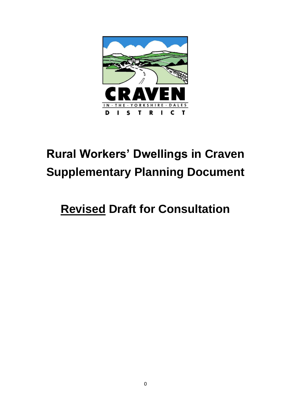

# **Rural Workers' Dwellings in Craven Supplementary Planning Document**

## **Revised Draft for Consultation**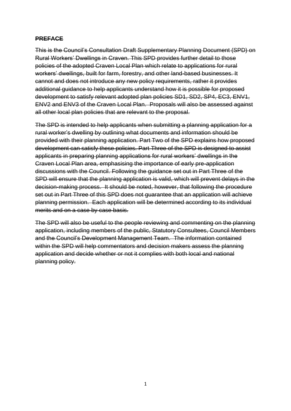#### **PREFACE**

This is the Council's Consultation Draft Supplementary Planning Document (SPD) on Rural Workers' Dwellings in Craven. This SPD provides further detail to those policies of the adopted Craven Local Plan which relate to applications for rural workers' dwellings, built for farm, forestry, and other land-based businesses. It cannot and does not introduce any new policy requirements, rather it provides additional guidance to help applicants understand how it is possible for proposed development to satisfy relevant adopted plan policies SD1, SD2, SP4, EC3, ENV1, ENV2 and ENV3 of the Craven Local Plan. Proposals will also be assessed against all other local plan policies that are relevant to the proposal.

The SPD is intended to help applicants when submitting a planning application for a rural worker's dwelling by outlining what documents and information should be provided with their planning application. Part Two of the SPD explains how proposed development can satisfy these policies. Part Three of the SPD is designed to assist applicants in preparing planning applications for rural workers' dwellings in the Craven Local Plan area, emphasising the importance of early pre-application discussions with the Council. Following the guidance set out in Part Three of the SPD will ensure that the planning application is valid, which will prevent delays in the decision-making process. It should be noted, however, that following the procedure set out in Part Three of this SPD does not guarantee that an application will achieve planning permission. Each application will be determined according to its individual merits and on a case by case basis.

The SPD will also be useful to the people reviewing and commenting on the planning application, including members of the public, Statutory Consultees, Council Members and the Council's Development Management Team. The information contained within the SPD will help commentators and decision makers assess the planning application and decide whether or not it complies with both local and national planning policy.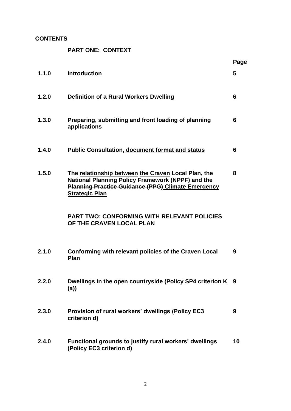## **CONTENTS**

**PART ONE: CONTEXT**

|       |                                                                                                                                                                                                | Page |
|-------|------------------------------------------------------------------------------------------------------------------------------------------------------------------------------------------------|------|
| 1.1.0 | <b>Introduction</b>                                                                                                                                                                            | 5    |
| 1.2.0 | <b>Definition of a Rural Workers Dwelling</b>                                                                                                                                                  | 6    |
| 1.3.0 | Preparing, submitting and front loading of planning<br>applications                                                                                                                            | 6    |
| 1.4.0 | <b>Public Consultation, document format and status</b>                                                                                                                                         | 6    |
| 1.5.0 | The relationship between the Craven Local Plan, the<br>National Planning Policy Framework (NPPF) and the<br><b>Planning Practice Guidance (PPG) Climate Emergency</b><br><b>Strategic Plan</b> | 8    |
|       | <b>PART TWO: CONFORMING WITH RELEVANT POLICIES</b><br>OF THE CRAVEN LOCAL PLAN                                                                                                                 |      |
| 2.1.0 | Conforming with relevant policies of the Craven Local<br>Plan                                                                                                                                  | 9    |
| 2.2.0 | Dwellings in the open countryside (Policy SP4 criterion K 9<br>(a)                                                                                                                             |      |
| 2.3.0 | Provision of rural workers' dwellings (Policy EC3<br>criterion d)                                                                                                                              | 9    |
| 2.4.0 | Functional grounds to justify rural workers' dwellings<br>(Policy EC3 criterion d)                                                                                                             | 10   |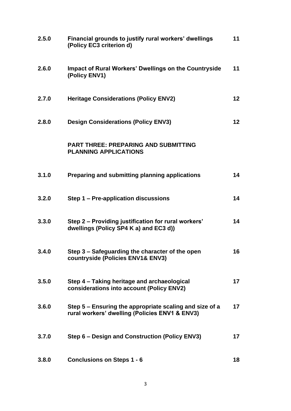| 2.5.0 | Financial grounds to justify rural workers' dwellings<br>(Policy EC3 criterion d)                         | 11 |
|-------|-----------------------------------------------------------------------------------------------------------|----|
| 2.6.0 | <b>Impact of Rural Workers' Dwellings on the Countryside</b><br>(Policy ENV1)                             | 11 |
| 2.7.0 | <b>Heritage Considerations (Policy ENV2)</b>                                                              | 12 |
| 2.8.0 | <b>Design Considerations (Policy ENV3)</b>                                                                | 12 |
|       | <b>PART THREE: PREPARING AND SUBMITTING</b><br><b>PLANNING APPLICATIONS</b>                               |    |
| 3.1.0 | Preparing and submitting planning applications                                                            | 14 |
| 3.2.0 | Step 1 – Pre-application discussions                                                                      | 14 |
| 3.3.0 | Step 2 – Providing justification for rural workers'<br>dwellings (Policy SP4 K a) and EC3 d))             | 14 |
| 3.4.0 | Step 3 - Safeguarding the character of the open<br>countryside (Policies ENV1& ENV3)                      | 16 |
| 3.5.0 | Step 4 - Taking heritage and archaeological<br>considerations into account (Policy ENV2)                  | 17 |
| 3.6.0 | Step 5 – Ensuring the appropriate scaling and size of a<br>rural workers' dwelling (Policies ENV1 & ENV3) | 17 |
| 3.7.0 | Step 6 – Design and Construction (Policy ENV3)                                                            | 17 |
| 3.8.0 | <b>Conclusions on Steps 1 - 6</b>                                                                         | 18 |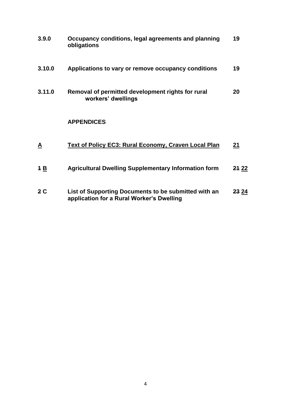| 3.9.0          | Occupancy conditions, legal agreements and planning<br>obligations                                | 19           |
|----------------|---------------------------------------------------------------------------------------------------|--------------|
| 3.10.0         | Applications to vary or remove occupancy conditions                                               | 19           |
| 3.11.0         | Removal of permitted development rights for rural<br>workers' dwellings                           | 20           |
|                | <b>APPENDICES</b>                                                                                 |              |
| <u>A</u>       | <b>Text of Policy EC3: Rural Economy, Craven Local Plan</b>                                       | 21           |
| 4B             | <b>Agricultural Dwelling Supplementary Information form</b>                                       | 24 22        |
| 2 <sub>C</sub> | List of Supporting Documents to be submitted with an<br>application for a Rural Worker's Dwelling | <b>23 24</b> |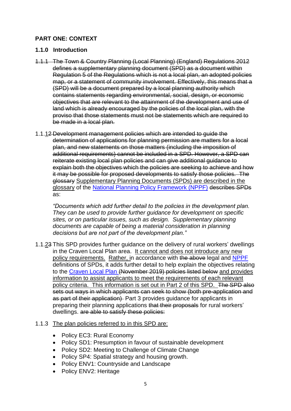## **PART ONE: CONTEXT**

#### **1.1.0 Introduction**

- 1.1.1 The Town & Country Planning (Local Planning) (England) Regulations 2012 defines a supplementary planning document (SPD) as a document within Regulation 5 of the Regulations which is not a local plan, an adopted policies map, or a statement of community involvement. Effectively, this means that a (SPD) will be a document prepared by a local planning authority which contains statements regarding environmental, social, design, or economic objectives that are relevant to the attainment of the development and use of land which is already encouraged by the policies of the local plan, with the proviso that those statements must not be statements which are required to be made in a local plan.
- 1.1.12 Development management policies which are intended to guide the determination of applications for planning permission are matters for a local plan, and new statements on those matters (including the imposition of additional requirements) cannot be included in a SPD. However, a SPD can reiterate existing local plan policies and can give additional guidance to explain both the objectives which the policies are seeking to achieve and how it may be possible for proposed developments to satisfy those policies. The glossary Supplementary Planning Documents (SPDs) are described in the glossary of the [National Planning Policy Framework \(NPPF\)](https://www.gov.uk/government/publications/national-planning-policy-framework--2) describes SPDs as:

*"Documents which add further detail to the policies in the development plan. They can be used to provide further guidance for development on specific sites, or on particular issues, such as design. Supplementary planning documents are capable of being a material consideration in planning decisions but are not part of the development plan."* 

1.1.23 This SPD provides further guidance on the delivery of rural workers' dwellings in the Craven Local Plan area. It cannot and does not introduce any new policy requirements. Rather, in accordance with the above legal and [NPPF](https://www.gov.uk/government/publications/national-planning-policy-framework--2) definitions of SPDs, it adds further detail to help explain the objectives relating to the [Craven Local Plan](https://www.cravendc.gov.uk/planning/craven-local-plan/) (November 2019) policies listed below and provides information to assist applicants to meet the requirements of each relevant policy criteria. This information is set out in Part 2 of this SPD. The SPD also sets out ways in which applicants can seek to show (both pre-application and as part of their application) Part 3 provides guidance for applicants in preparing their planning applications that their proposals for rural workers' dwellings. are able to satisfy these policies:

## 1.1.3 The plan policies referred to in this SPD are:

- Policy EC3: Rural Economy
- Policy SD1: Presumption in favour of sustainable development
- Policy SD2: Meeting to Challenge of Climate Change
- Policy SP4: Spatial strategy and housing growth.
- Policy ENV1: Countryside and Landscape
- Policy ENV2: Heritage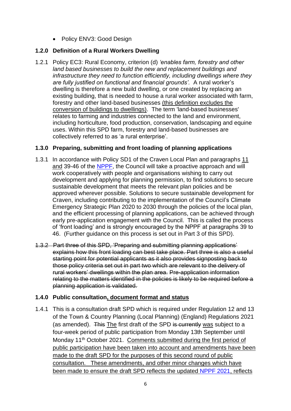• Policy ENV3: Good Design

## **1.2.0 Definition of a Rural Workers Dwelling**

1.2.1 Policy EC3: Rural Economy, criterion (d) *'enables farm, forestry and other land based businesses to build the new and replacement buildings and infrastructure they need to function efficiently, including dwellings where they are fully justified on functional and financial grounds'.* A rural worker's dwelling is therefore a new build dwelling, or one created by replacing an existing building, that is needed to house a rural worker associated with farm, forestry and other land-based businesses (this definition excludes the conversion of buildings to dwellings). The term 'land-based businesses' relates to farming and industries connected to the land and environment, including horticulture, food production, conservation, landscaping and equine uses. Within this SPD farm, forestry and land-based businesses are collectively referred to as 'a rural enterprise'.

## **1.3.0 Preparing, submitting and front loading of planning applications**

- 1.3.1 In accordance with Policy SD1 of the Craven Local Plan and paragraphs 11 and 39-46 of the [NPPF,](https://www.gov.uk/government/publications/national-planning-policy-framework--2) the Council will take a proactive approach and will work cooperatively with people and organisations wishing to carry out development and applying for planning permission, to find solutions to secure sustainable development that meets the relevant plan policies and be approved wherever possible. Solutions to secure sustainable development for Craven, including contributing to the implementation of the Council's Climate Emergency Strategic Plan 2020 to 2030 through the policies of the local plan, and the efficient processing of planning applications, can be achieved through early pre-application engagement with the Council. This is called the process of 'front loading' and is strongly encouraged by the NPPF at paragraphs 39 to 46. (Further guidance on this process is set out in Part 3 of this SPD).
- 1.3.2 Part three of this SPD, 'Preparing and submitting planning applications' explains how this front loading can best take place. Part three is also a useful starting point for potential applicants as it also provides signposting back to those policy criteria set out in part two which are relevant to the delivery of rural workers' dwellings within the plan area. Pre-application information relating to the matters identified in the policies is likely to be required before a planning application is validated.

## **1.4.0 Public consultation, document format and status**

1.4.1 This is a consultation draft SPD which is required under Regulation 12 and 13 of the Town & Country Planning (Local Planning) (England) Regulations 2021 (as amended). This The first draft of the SPD is currently was subject to a four-week period of public participation from Monday 13th September until Monday 11<sup>th</sup> October 2021. Comments submitted during the first period of public participation have been taken into account and amendments have been made to the draft SPD for the purposes of this second round of public consultation. These amendments, and other minor changes which have been made to ensure the draft SPD reflects the updated [NPPF 2021,](https://www.gov.uk/government/publications/national-planning-policy-framework--2) reflects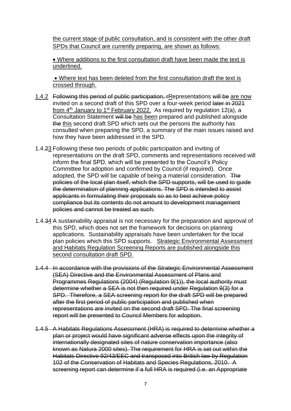the current stage of public consultation, and is consistent with the other draft SPDs that Council are currently preparing, are shown as follows:

• Where additions to the first consultation draft have been made the text is underlined.

• Where text has been deleted from the first consultation draft the text is crossed through.

- 1.4.2 Following this period of public participation, rRepresentations will be are now invited on a second draft of this SPD over a four-week period later in 2021 from 4<sup>th</sup> January to 1<sup>st</sup> February 2022. As required by regulation 12(a), a Consultation Statement will be has been prepared and published alongside the this second draft SPD which sets out the persons the authority has consulted when preparing the SPD, a summary of the main issues raised and how they have been addressed in the SPD.
- 1.4.23 Following these two periods of public participation and inviting of representations on the draft SPD, comments and representations received will inform the final SPD, which will be presented to the Council's Policy Committee for adoption and confirmed by Council (if required). Once adopted, the SPD will be capable of being a material consideration. The policies of the local plan itself, which the SPD supports, will be used to guide the determination of planning applications. The SPD is intended to assist applicants in formulating their proposals so as to best achieve policy compliance but its contents do not amount to development management policies and cannot be treated as such.
- 1.4.34 A sustainability appraisal is not necessary for the preparation and approval of this SPD, which does not set the framework for decisions on planning applications. Sustainability appraisals have been undertaken for the local plan policies which this SPD supports. Strategic Environmental Assessment and Habitats Regulation Screening Reports are published alongside this second consultation draft SPD.
- 1.4.4 In accordance with the provisions of the Strategic Environmental Assessment (SEA) Directive and the Environmental Assessment of Plans and Programmes Regulations (2004) (Regulation 9(1)), the local authority must determine whether a SEA is not then required under Regulation 9(3) for a SPD. Therefore, a SEA screening report for the draft SPD will be prepared after the first period of public participation and published when representations are invited on the second draft SPD. The final screening report will be presented to Council Members for adoption.
- 1.4.5 A Habitats Regulations Assessment (HRA) is required to determine whether a plan or project would have significant adverse effects upon the integrity of internationally designated sites of nature conservation importance (also known as Natura 2000 sites). The requirement for HRA is set out within the Habitats Directive 92/43/EEC and transposed into British law by Regulation 102 of the Conservation of Habitats and Species Regulations, 2010. A screening report can determine if a full HRA is required (i.e. an Appropriate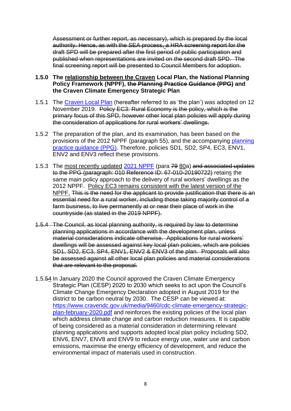Assessment or further report, as necessary), which is prepared by the local authority. Hence, as with the SEA process, a HRA screening report for the draft SPD will be prepared after the first period of public participation and published when representations are invited on the second draft SPD. The final screening report will be presented to Council Members for adoption.

#### **1.5.0 The relationship between the Craven Local Plan, the National Planning Policy Framework (NPPF), the Planning Practice Guidance (PPG) and the Craven Climate Emergency Strategic Plan**

- 1.5.1 The [Craven Local Plan](https://www.cravendc.gov.uk/planning/craven-local-plan/) (hereafter referred to as 'the plan') was adopted on 12 November 2019. Policy EC3: Rural Economy is the policy, which is the primary focus of this SPD, however other local plan policies will apply during the consideration of applications for rural workers' dwellings.
- 1.5.2 The preparation of the plan, and its examination, has been based on the provisions of the 2012 NPPF (paragraph 55), and the accompanying [planning](https://www.gov.uk/government/collections/planning-practice-guidance)  [practice guidance \(PPG\).](https://www.gov.uk/government/collections/planning-practice-guidance) Therefore, policies SD1, SD2, SP4, EC3, ENV1, ENV2 and ENV3 reflect these provisions.
- 1.5.3 The most recently updated 2021 [NPPF](https://www.gov.uk/government/publications/national-planning-policy-framework--2) (para 79 80a) and associated updates to the PPG (paragraph: 010 Reference ID: 67-010-20190722) retains the same main policy approach to the delivery of rural workers' dwellings as the 2012 NPPF. Policy EC3 remains consistent with the latest version of the NPPF. This is the need for the applicant to provide justification that there is an essential need for a rural worker, including those taking majority control of a farm business, to live permanently at or near their place of work in the countryside (as stated in the 2019 NPPF).
- 1.5.4 The Council, as local planning authority, is required by law to determine planning applications in accordance with the development plan, unless material considerations indicate otherwise. Applications for rural workers' dwellings will be assessed against key local plan policies, which are policies SD1, SD2, EC3, SP4, ENV1, ENV2 & ENV3 of the plan. Proposals will also be assessed against all other local plan policies and material considerations that are relevant to the proposal.
- 1.5.54 In January 2020 the Council approved the Craven Climate Emergency Strategic Plan (CESP) 2020 to 2030 which seeks to act upon the Council's Climate Change Emergency Declaration adopted in August 2019 for the district to be carbon neutral by 2030. The CESP can be viewed at: [https://www.cravendc.gov.uk/media/9460/cdc-climate-emergency-strategic](https://www.cravendc.gov.uk/media/9460/cdc-climate-emergency-strategic-plan-february-2020.pdf)[plan-february-2020.pdf](https://www.cravendc.gov.uk/media/9460/cdc-climate-emergency-strategic-plan-february-2020.pdf) and reinforces the existing policies of the local plan which address climate change and carbon reduction measures. It is capable of being considered as a material consideration in determining relevant planning applications and supports adopted local plan policy including SD2, ENV6, ENV7, ENV8 and ENV9 to reduce energy use, water use and carbon emissions, maximise the energy efficiency of development, and reduce the environmental impact of materials used in construction.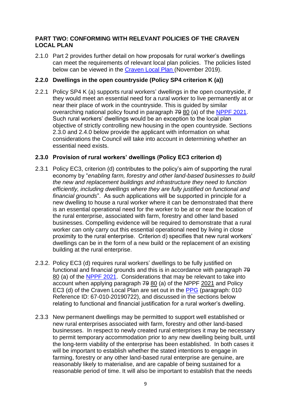#### **PART TWO: CONFORMING WITH RELEVANT POLICIES OF THE CRAVEN LOCAL PLAN**

2.1.0 Part 2 provides further detail on how proposals for rural worker's dwellings can meet the requirements of relevant local plan policies. The policies listed below can be viewed in the [Craven Local Plan](https://www.cravendc.gov.uk/planning/craven-local-plan/) (November 2019).

#### **2.2.0 Dwellings in the open countryside (Policy SP4 criterion K (a))**

2.2.1 Policy SP4 K (a) supports rural workers' dwellings in the open countryside, if they would meet an essential need for a rural worker to live permanently at or near their place of work in the countryside. This is guided by similar overarching national policy found in paragraph 79 80 (a) of the [NPPF](https://www.gov.uk/government/publications/national-planning-policy-framework--2) 2021. Such rural workers' dwellings would be an exception to the local plan objective of strictly controlling new housing in the open countryside. Sections 2.3.0 and 2.4.0 below provide the applicant with information on what considerations the Council will take into account in determining whether an essential need exists.

#### **2.3.0 Provision of rural workers' dwellings (Policy EC3 criterion d)**

- 2.3.1 Policy EC3, criterion (d) contributes to the policy's aim of supporting the rural economy by "*enabling farm, forestry and other land-based businesses to build the new and replacement buildings and infrastructure they need to function efficiently, including dwellings where they are fully justified on functional and financial grounds*". As such applications will be supported in principle for a new dwelling to house a rural worker where it can be demonstrated that there is an essential operational need for the worker to be at or near the location of the rural enterprise, associated with farm, forestry and other land based businesses. Compelling evidence will be required to demonstrate that a rural worker can only carry out this essential operational need by living in close proximity to the rural enterprise. Criterion d) specifies that new rural workers' dwellings can be in the form of a new build or the replacement of an existing building at the rural enterprise.
- 2.3.2. Policy EC3 (d) requires rural workers' dwellings to be fully justified on functional and financial grounds and this is in accordance with paragraph 79 80 (a) of the [NPPF](https://www.gov.uk/government/publications/national-planning-policy-framework--2) 2021. Considerations that may be relevant to take into account when applying paragraph 79 80 (a) of the NPPF 2021 and Policy EC3 (d) of the Craven Local Plan are set out in the [PPG](https://www.gov.uk/government/collections/planning-practice-guidance) (paragraph: 010 Reference ID: 67-010-20190722), and discussed in the sections below relating to functional and financial justification for a rural worker's dwelling.
- 2.3.3 New permanent dwellings may be permitted to support well established or new rural enterprises associated with farm, forestry and other land-based businesses. In respect to newly created rural enterprises it may be necessary to permit temporary accommodation prior to any new dwelling being built, until the long-term viability of the enterprise has been established. In both cases it will be important to establish whether the stated intentions to engage in farming, forestry or any other land-based rural enterprise are genuine, are reasonably likely to materialise, and are capable of being sustained for a reasonable period of time. It will also be important to establish that the needs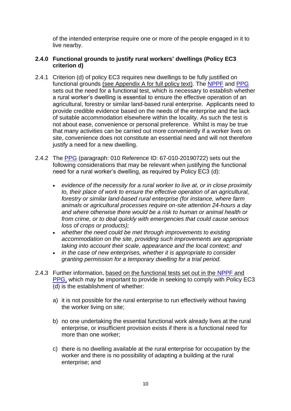of the intended enterprise require one or more of the people engaged in it to live nearby.

#### **2.4.0 Functional grounds to justify rural workers' dwellings (Policy EC3 criterion d)**

- 2.4.1 Criterion (d) of policy EC3 requires new dwellings to be fully justified on functional grounds (see Appendix A for full policy text). The [NPPF](https://www.gov.uk/government/publications/national-planning-policy-framework--2) and [PPG](https://www.gov.uk/government/collections/planning-practice-guidance) sets out the need for a functional test, which is necessary to establish whether a rural worker's dwelling is essential to ensure the effective operation of an agricultural, forestry or similar land-based rural enterprise. Applicants need to provide credible evidence based on the needs of the enterprise and the lack of suitable accommodation elsewhere within the locality. As such the test is not about ease, convenience or personal preference. Whilst is may be true that many activities can be carried out more conveniently if a worker lives on site, convenience does not constitute an essential need and will not therefore justify a need for a new dwelling.
- 2.4.2 The [PPG](https://www.gov.uk/government/collections/planning-practice-guidance) (paragraph: 010 Reference ID: 67-010-20190722) sets out the following considerations that may be relevant when justifying the functional need for a rural worker's dwelling, as required by Policy EC3 (d):
	- *evidence of the necessity for a rural worker to live at, or in close proximity to, their place of work to ensure the effective operation of an agricultural, forestry or similar land-based rural enterprise (for instance, where farm animals or agricultural processes require on-site attention 24-hours a day and where otherwise there would be a risk to human or animal health or from crime, or to deal quickly with emergencies that could cause serious loss of crops or products);*
	- *whether the need could be met through improvements to existing accommodation on the site, providing such improvements are appropriate taking into account their scale, appearance and the local context; and*
	- *in the case of new enterprises, whether it is appropriate to consider granting permission for a temporary dwelling for a trial period.*
- 2.4.3 Further information, based on the functional tests set out in the [NPPF](https://www.gov.uk/government/publications/national-planning-policy-framework--2) and [PPG,](https://www.gov.uk/government/collections/planning-practice-guidance) which may be important to provide in seeking to comply with Policy EC3 (d) is the establishment of whether:
	- a) it is not possible for the rural enterprise to run effectively without having the worker living on site;
	- b) no one undertaking the essential functional work already lives at the rural enterprise, or insufficient provision exists if there is a functional need for more than one worker;
	- c) there is no dwelling available at the rural enterprise for occupation by the worker and there is no possibility of adapting a building at the rural enterprise; and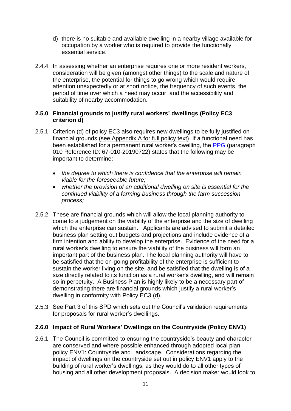- d) there is no suitable and available dwelling in a nearby village available for occupation by a worker who is required to provide the functionally essential service.
- 2.4.4 In assessing whether an enterprise requires one or more resident workers, consideration will be given (amongst other things) to the scale and nature of the enterprise, the potential for things to go wrong which would require attention unexpectedly or at short notice, the frequency of such events, the period of time over which a need may occur, and the accessibility and suitability of nearby accommodation.

#### **2.5.0 Financial grounds to justify rural workers' dwellings (Policy EC3 criterion d)**

- 2.5.1 Criterion (d) of policy EC3 also requires new dwellings to be fully justified on financial grounds (see Appendix A for full policy text). If a functional need has been established for a permanent rural worker's dwelling, the [PPG](https://www.gov.uk/government/collections/planning-practice-guidance) (paragraph 010 Reference ID: 67-010-20190722) states that the following may be important to determine:
	- *the degree to which there is confidence that the enterprise will remain viable for the foreseeable future;*
	- *whether the provision of an additional dwelling on site is essential for the continued viability of a farming business through the farm succession process;*
- 2.5.2 These are financial grounds which will allow the local planning authority to come to a judgement on the viability of the enterprise and the size of dwelling which the enterprise can sustain. Applicants are advised to submit a detailed business plan setting out budgets and projections and include evidence of a firm intention and ability to develop the enterprise. Evidence of the need for a rural worker's dwelling to ensure the viability of the business will form an important part of the business plan. The local planning authority will have to be satisfied that the on-going profitability of the enterprise is sufficient to sustain the worker living on the site, and be satisfied that the dwelling is of a size directly related to its function as a rural worker's dwelling, and will remain so in perpetuity. A Business Plan is highly likely to be a necessary part of demonstrating there are financial grounds which justify a rural worker's dwelling in conformity with Policy EC3 (d).
- 2.5.3 See Part 3 of this SPD which sets out the Council's validation requirements for proposals for rural worker's dwellings.

## **2.6.0 Impact of Rural Workers' Dwellings on the Countryside (Policy ENV1)**

2.6.1 The Council is committed to ensuring the countryside's beauty and character are conserved and where possible enhanced through adopted local plan policy ENV1: Countryside and Landscape. Considerations regarding the impact of dwellings on the countryside set out in policy ENV1 apply to the building of rural worker's dwellings, as they would do to all other types of housing and all other development proposals. A decision maker would look to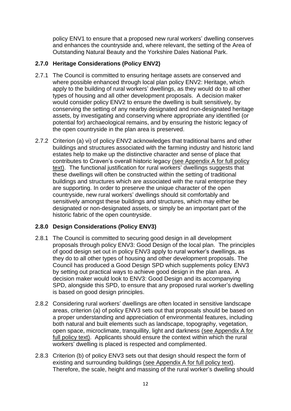policy ENV1 to ensure that a proposed new rural workers' dwelling conserves and enhances the countryside and, where relevant, the setting of the Area of Outstanding Natural Beauty and the Yorkshire Dales National Park.

## **2.7.0 Heritage Considerations (Policy ENV2)**

- 2.7.1 The Council is committed to ensuring heritage assets are conserved and where possible enhanced through local plan policy ENV2: Heritage, which apply to the building of rural workers' dwellings, as they would do to all other types of housing and all other development proposals. A decision maker would consider policy ENV2 to ensure the dwelling is built sensitively, by conserving the setting of any nearby designated and non-designated heritage assets, by investigating and conserving where appropriate any identified (or potential for) archaeological remains, and by ensuring the historic legacy of the open countryside in the plan area is preserved.
- 2.7.2 Criterion (a) vi) of policy ENV2 acknowledges that traditional barns and other buildings and structures associated with the farming industry and historic land estates help to make up the distinctive character and sense of place that contributes to Craven's overall historic legacy (see Appendix A for full policy text). The functional justification for rural workers' dwellings suggests that these dwellings will often be constructed within the setting of traditional buildings and structures which are associated with the rural enterprise they are supporting. In order to preserve the unique character of the open countryside, new rural workers' dwellings should sit comfortably and sensitively amongst these buildings and structures, which may either be designated or non-designated assets, or simply be an important part of the historic fabric of the open countryside.

## **2.8.0 Design Considerations (Policy ENV3)**

- 2.8.1 The Council is committed to securing good design in all development proposals through policy ENV3: Good Design of the local plan. The principles of good design set out in policy ENV3 apply to rural worker's dwellings, as they do to all other types of housing and other development proposals. The Council has produced a Good Design SPD which supplements policy ENV3 by setting out practical ways to achieve good design in the plan area. A decision maker would look to ENV3: Good Design and its accompanying SPD, alongside this SPD, to ensure that any proposed rural worker's dwelling is based on good design principles.
- 2.8.2 Considering rural workers' dwellings are often located in sensitive landscape areas, criterion (a) of policy ENV3 sets out that proposals should be based on a proper understanding and appreciation of environmental features, including both natural and built elements such as landscape, topography, vegetation, open space, microclimate, tranquillity, light and darkness (see Appendix A for full policy text). Applicants should ensure the context within which the rural workers' dwelling is placed is respected and complimented.
- 2.8.3 Criterion (b) of policy ENV3 sets out that design should respect the form of existing and surrounding buildings (see Appendix A for full policy text). Therefore, the scale, height and massing of the rural worker's dwelling should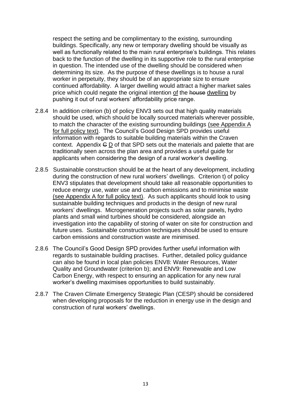respect the setting and be complimentary to the existing, surrounding buildings. Specifically, any new or temporary dwelling should be visually as well as functionally related to the main rural enterprise's buildings. This relates back to the function of the dwelling in its supportive role to the rural enterprise in question. The intended use of the dwelling should be considered when determining its size. As the purpose of these dwellings is to house a rural worker in perpetuity, they should be of an appropriate size to ensure continued affordability. A larger dwelling would attract a higher market sales price which could negate the original intention of the house dwelling by pushing it out of rural workers' affordability price range.

- 2.8.4 In addition criterion (b) of policy ENV3 sets out that high quality materials should be used, which should be locally sourced materials wherever possible, to match the character of the existing surrounding buildings (see Appendix A for full policy text). The Council's Good Design SPD provides useful information with regards to suitable building materials within the Craven context. Appendix G D of that SPD sets out the materials and palette that are traditionally seen across the plan area and provides a useful guide for applicants when considering the design of a rural worker's dwelling.
- 2.8.5 Sustainable construction should be at the heart of any development, including during the construction of new rural workers' dwellings. Criterion t) of policy ENV3 stipulates that development should take all reasonable opportunities to reduce energy use, water use and carbon emissions and to minimise waste (see Appendix A for full policy text). As such applicants should look to using sustainable building techniques and products in the design of new rural workers' dwellings. Microgeneration projects such as solar panels, hydro plants and small wind turbines should be considered, alongside an investigation into the capability of storing of water on site for construction and future uses. Sustainable construction techniques should be used to ensure carbon emissions and construction waste are minimised.
- 2.8.6 The Council's Good Design SPD provides further useful information with regards to sustainable building practises. Further, detailed policy guidance can also be found in local plan policies ENV8: Water Resources, Water Quality and Groundwater (criterion b); and ENV9: Renewable and Low Carbon Energy, with respect to ensuring an application for any new rural worker's dwelling maximises opportunities to build sustainably.
- 2.8.7 The Craven Climate Emergency Strategic Plan (CESP) should be considered when developing proposals for the reduction in energy use in the design and construction of rural workers' dwellings.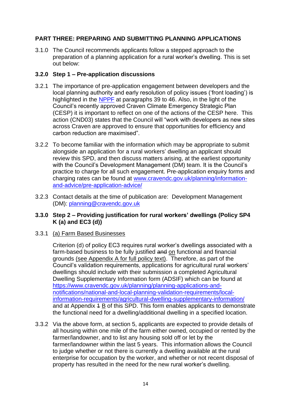## **PART THREE: PREPARING AND SUBMITTING PLANNING APPLICATIONS**

3.1.0 The Council recommends applicants follow a stepped approach to the preparation of a planning application for a rural worker's dwelling. This is set out below:

#### **3.2.0 Step 1 – Pre-application discussions**

- 3.2.1 The importance of pre-application engagement between developers and the local planning authority and early resolution of policy issues ('front loading') is highlighted in the [NPPF](https://www.gov.uk/government/publications/national-planning-policy-framework--2) at paragraphs 39 to 46. Also, in the light of the Council's recently approved Craven Climate Emergency Strategic Plan (CESP) it is important to reflect on one of the actions of the CESP here. This action (CND03) states that the Council will "work with developers as new sites across Craven are approved to ensure that opportunities for efficiency and carbon reduction are maximised".
- 3.2.2 To become familiar with the information which may be appropriate to submit alongside an application for a rural workers' dwelling an applicant should review this SPD, and then discuss matters arising, at the earliest opportunity with the Council's Development Management (DM) team. It is the Council's practice to charge for all such engagement. Pre-application enquiry forms and charging rates can be found at [www.cravendc.gov.uk/planning/information](http://www.cravendc.gov.uk/planning/information-and-advice/pre-application-advice/)[and-advice/pre-application-advice/](http://www.cravendc.gov.uk/planning/information-and-advice/pre-application-advice/)
- 3.2.3 Contact details at the time of publication are: Development Management (DM): [planning@cravendc.gov.uk](mailto:planning@cravendc.gov.uk)

#### **3.3.0 Step 2 – Providing justification for rural workers' dwellings (Policy SP4 K (a) and EC3 (d))**

#### 3.3.1 (a) Farm Based Businesses

Criterion (d) of policy EC3 requires rural worker's dwellings associated with a farm-based business to be fully justified and on functional and financial grounds (see Appendix A for full policy text). Therefore, as part of the Council's validation requirements, applications for agricultural rural workers' dwellings should include with their submission a completed Agricultural Dwelling Supplementary Information form (ADSIF) which can be found at [https://www.cravendc.gov.uk/planning/planning-applications-and](https://www.cravendc.gov.uk/planning/planning-applications-and-notifications/national-and-local-planning-validation-requirements/local-information-requirements/agricultural-dwelling-supplementary-information/)[notifications/national-and-local-planning-validation-requirements/local](https://www.cravendc.gov.uk/planning/planning-applications-and-notifications/national-and-local-planning-validation-requirements/local-information-requirements/agricultural-dwelling-supplementary-information/)[information-requirements/agricultural-dwelling-supplementary-information/](https://www.cravendc.gov.uk/planning/planning-applications-and-notifications/national-and-local-planning-validation-requirements/local-information-requirements/agricultural-dwelling-supplementary-information/) and at Appendix 1 B of this SPD. This form enables applicants to demonstrate the functional need for a dwelling/additional dwelling in a specified location.

3.3.2 Via the above form, at section 5, applicants are expected to provide details of all housing within one mile of the farm either owned, occupied or rented by the farmer/landowner, and to list any housing sold off or let by the farmer/landowner within the last 5 years. This information allows the Council to judge whether or not there is currently a dwelling available at the rural enterprise for occupation by the worker, and whether or not recent disposal of property has resulted in the need for the new rural worker's dwelling.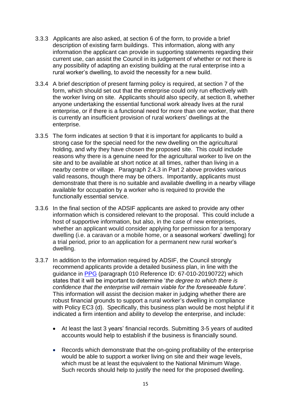- 3.3.3 Applicants are also asked, at section 6 of the form, to provide a brief description of existing farm buildings. This information, along with any information the applicant can provide in supporting statements regarding their current use, can assist the Council in its judgement of whether or not there is any possibility of adapting an existing building at the rural enterprise into a rural worker's dwelling, to avoid the necessity for a new build.
- 3.3.4 A brief description of present farming policy is required, at section 7 of the form, which should set out that the enterprise could only run effectively with the worker living on site. Applicants should also specify, at section 8, whether anyone undertaking the essential functional work already lives at the rural enterprise, or if there is a functional need for more than one worker, that there is currently an insufficient provision of rural workers' dwellings at the enterprise.
- 3.3.5 The form indicates at section 9 that it is important for applicants to build a strong case for the special need for the new dwelling on the agricultural holding, and why they have chosen the proposed site. This could include reasons why there is a genuine need for the agricultural worker to live on the site and to be available at short notice at all times, rather than living in a nearby centre or village. Paragraph 2.4.3 in Part 2 above provides various valid reasons, though there may be others. Importantly, applicants must demonstrate that there is no suitable and available dwelling in a nearby village available for occupation by a worker who is required to provide the functionally essential service.
- 3.3.6 In the final section of the ADSIF applicants are asked to provide any other information which is considered relevant to the proposal. This could include a host of supportive information, but also, in the case of new enterprises, whether an applicant would consider applying for permission for a temporary dwelling (i.e. a caravan or a mobile home, or a seasonal workers' dwelling) for a trial period, prior to an application for a permanent new rural worker's dwelling.
- 3.3.7 In addition to the information required by ADSIF, the Council strongly recommend applicants provide a detailed business plan, in line with the guidance in [PPG](https://www.gov.uk/government/collections/planning-practice-guidance) (paragraph 010 Reference ID: 67-010-20190722) which states that it will be important to determine '*the degree to which there is confidence that the enterprise will remain viable for the foreseeable future'.* This information will assist the decision maker in judging whether there are robust financial grounds to support a rural worker's dwelling in compliance with Policy EC3 (d). Specifically, this business plan would be most helpful if it indicated a firm intention and ability to develop the enterprise, and include:
	- At least the last 3 years' financial records. Submitting 3-5 years of audited accounts would help to establish if the business is financially sound.
	- Records which demonstrate that the on-going profitability of the enterprise would be able to support a worker living on site and their wage levels, which must be at least the equivalent to the National Minimum Wage. Such records should help to justify the need for the proposed dwelling.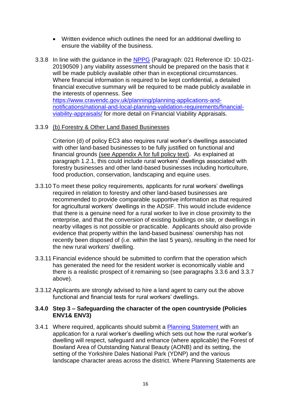- Written evidence which outlines the need for an additional dwelling to ensure the viability of the business.
- 3.3.8 In line with the guidance in the [NPPG](https://www.gov.uk/government/collections/planning-practice-guidance) [\(Paragraph: 021 Reference ID: 10-021-](https://consult.harrogate.gov.uk/kse/event/35670/section/s1602077198430#source-d1280186e540) [20190509 \)](https://consult.harrogate.gov.uk/kse/event/35670/section/s1602077198430#source-d1280186e540) any viability assessment should be prepared on the basis that it will be made publicly available other than in exceptional circumstances. Where financial information is required to be kept confidential, a detailed financial executive summary will be required to be made publicly available in the interests of openness. See [https://www.cravendc.gov.uk/planning/planning-applications-and](https://www.cravendc.gov.uk/planning/planning-applications-and-notifications/national-and-local-planning-validation-requirements/financial-viability-appraisals/)[notifications/national-and-local-planning-validation-requirements/financial](https://www.cravendc.gov.uk/planning/planning-applications-and-notifications/national-and-local-planning-validation-requirements/financial-viability-appraisals/)[viability-appraisals/](https://www.cravendc.gov.uk/planning/planning-applications-and-notifications/national-and-local-planning-validation-requirements/financial-viability-appraisals/) for more detail on Financial Viability Appraisals.

#### 3.3.9 (b) Forestry & Other Land Based Businesses

Criterion (d) of policy EC3 also requires rural worker's dwellings associated with other land-based businesses to be fully justified on functional and financial grounds (see Appendix A for full policy text). As explained at paragraph 1.2.1, this could include rural workers' dwellings associated with forestry businesses and other land-based businesses including horticulture, food production, conservation, landscaping and equine uses.

- 3.3.10 To meet these policy requirements, applicants for rural workers' dwellings required in relation to forestry and other land-based businesses are recommended to provide comparable supportive information as that required for agricultural workers' dwellings in the ADSIF. This would include evidence that there is a genuine need for a rural worker to live in close proximity to the enterprise, and that the conversion of existing buildings on site, or dwellings in nearby villages is not possible or practicable. Applicants should also provide evidence that property within the land-based business' ownership has not recently been disposed of (i.e. within the last 5 years), resulting in the need for the new rural workers' dwelling.
- 3.3.11 Financial evidence should be submitted to confirm that the operation which has generated the need for the resident worker is economically viable and there is a realistic prospect of it remaining so (see paragraphs 3.3.6 and 3.3.7 above).
- 3.3.12 Applicants are strongly advised to hire a land agent to carry out the above functional and financial tests for rural workers' dwellings.

#### **3.4.0 Step 3 – Safeguarding the character of the open countryside (Policies ENV1& ENV3)**

3.4.1 Where required, applicants should submit a [Planning Statement](https://www.cravendc.gov.uk/planning/planning-applications-and-notifications/national-and-local-planning-validation-requirements/local-information-requirements/planning-statement/) with an application for a rural worker's dwelling which sets out how the rural worker's dwelling will respect, safeguard and enhance (where applicable) the Forest of Bowland Area of Outstanding Natural Beauty (AONB) and its setting, the setting of the Yorkshire Dales National Park (YDNP) and the various landscape character areas across the district. Where Planning Statements are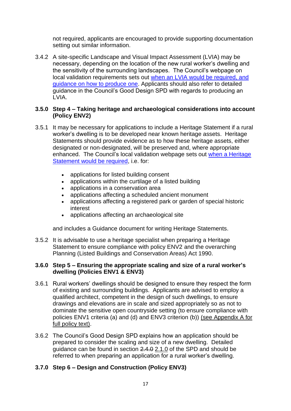not required, applicants are encouraged to provide supporting documentation setting out similar information.

3.4.2 A site-specific Landscape and Visual Impact Assessment (LVIA) may be necessary, depending on the location of the new rural worker's dwelling and the sensitivity of the surrounding landscapes. The Council's webpage on local validation requirements sets out [when an LVIA would be required, and](https://www.cravendc.gov.uk/planning/planning-applications-and-notifications/national-and-local-planning-validation-requirements/local-information-requirements/landscape-and-visual-impact-assessment-lvia/)  [guidance on how to produce one.](https://www.cravendc.gov.uk/planning/planning-applications-and-notifications/national-and-local-planning-validation-requirements/local-information-requirements/landscape-and-visual-impact-assessment-lvia/) Applicants should also refer to detailed guidance in the Council's Good Design SPD with regards to producing an LVIA.

#### **3.5.0 Step 4 – Taking heritage and archaeological considerations into account (Policy ENV2)**

- 3.5.1 It may be necessary for applications to include a Heritage Statement if a rural worker's dwelling is to be developed near known heritage assets. Heritage Statements should provide evidence as to how these heritage assets, either designated or non-designated, will be preserved and, where appropriate enhanced. The Council's local validation webpage sets out [when a Heritage](https://www.cravendc.gov.uk/planning/planning-applications-and-notifications/national-and-local-planning-validation-requirements/local-information-requirements/heritage-statement/)  [Statement would be required,](https://www.cravendc.gov.uk/planning/planning-applications-and-notifications/national-and-local-planning-validation-requirements/local-information-requirements/heritage-statement/) i.e. for:
	- applications for listed building consent
	- applications within the curtilage of a listed building
	- applications in a conservation area
	- applications affecting a scheduled ancient monument
	- applications affecting a registered park or garden of special historic interest
	- applications affecting an archaeological site

and includes a Guidance document for writing Heritage Statements.

3.5.2 It is advisable to use a heritage specialist when preparing a Heritage Statement to ensure compliance with policy ENV2 and the overarching Planning (Listed Buildings and Conservation Areas) Act 1990.

#### **3.6.0 Step 5 – Ensuring the appropriate scaling and size of a rural worker's dwelling (Policies ENV1 & ENV3)**

- 3.6.1 Rural workers' dwellings should be designed to ensure they respect the form of existing and surrounding buildings. Applicants are advised to employ a qualified architect, competent in the design of such dwellings, to ensure drawings and elevations are in scale and sized appropriately so as not to dominate the sensitive open countryside setting (to ensure compliance with policies ENV1 criteria (a) and (d) and ENV3 criterion (b)) (see Appendix A for full policy text).
- 3.6.2 The Council's Good Design SPD explains how an application should be prepared to consider the scaling and size of a new dwelling. Detailed guidance can be found in section 2.4.0 2.1.0 of the SPD and should be referred to when preparing an application for a rural worker's dwelling.

## **3.7.0 Step 6 – Design and Construction (Policy ENV3)**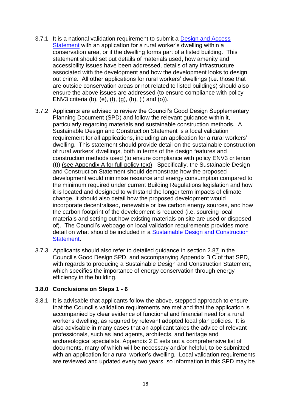- 3.7.1 It is a national validation requirement to submit a [Design and Access](https://www.cravendc.gov.uk/planning/planning-applications-and-notifications/national-and-local-planning-validation-requirements/statutory-national-information-requirements/design-and-access-statement/)  [Statement](https://www.cravendc.gov.uk/planning/planning-applications-and-notifications/national-and-local-planning-validation-requirements/statutory-national-information-requirements/design-and-access-statement/) with an application for a rural worker's dwelling within a conservation area, or if the dwelling forms part of a listed building. This statement should set out details of materials used, how amenity and accessibility issues have been addressed, details of any infrastructure associated with the development and how the development looks to design out crime. All other applications for rural workers' dwellings (i.e. those that are outside conservation areas or not related to listed buildings) should also ensure the above issues are addressed (to ensure compliance with policy ENV3 criteria (b), (e), (f), (g), (h), (i) and (o)).
- 3.7.2 Applicants are advised to review the Council's Good Design Supplementary Planning Document (SPD) and follow the relevant guidance within it, particularly regarding materials and sustainable construction methods. A Sustainable Design and Construction Statement is a local validation requirement for all applications, including an application for a rural workers' dwelling. This statement should provide detail on the sustainable construction of rural workers' dwellings, both in terms of the design features and construction methods used (to ensure compliance with policy ENV3 criterion (t)) (see Appendix A for full policy text). Specifically, the Sustainable Design and Construction Statement should demonstrate how the proposed development would minimise resource and energy consumption compared to the minimum required under current Building Regulations legislation and how it is located and designed to withstand the longer term impacts of climate change. It should also detail how the proposed development would incorporate decentralised, renewable or low carbon energy sources, and how the carbon footprint of the development is reduced (i.e. sourcing local materials and setting out how existing materials on site are used or disposed of). The Council's webpage on local validation requirements provides more detail on what should be included in a [Sustainable Design and Construction](https://www.cravendc.gov.uk/planning/planning-applications-and-notifications/national-and-local-planning-validation-requirements/local-information-requirements/sustainable-design-and-construction-statement/) [Statement.](https://www.cravendc.gov.uk/planning/planning-applications-and-notifications/national-and-local-planning-validation-requirements/local-information-requirements/sustainable-design-and-construction-statement/)
- 3.7.3 Applicants should also refer to detailed guidance in section 2.87 in the Council's Good Design SPD, and accompanying Appendix B C of that SPD, with regards to producing a Sustainable Design and Construction Statement, which specifies the importance of energy conservation through energy efficiency in the building.

#### **3.8.0 Conclusions on Steps 1 - 6**

3.8.1 It is advisable that applicants follow the above, stepped approach to ensure that the Council's validation requirements are met and that the application is accompanied by clear evidence of functional and financial need for a rural worker's dwelling, as required by relevant adopted local plan policies. It is also advisable in many cases that an applicant takes the advice of relevant professionals, such as land agents, architects, and heritage and archaeological specialists. Appendix 2 C sets out a comprehensive list of documents, many of which will be necessary and/or helpful, to be submitted with an application for a rural worker's dwelling. Local validation requirements are reviewed and updated every two years, so information in this SPD may be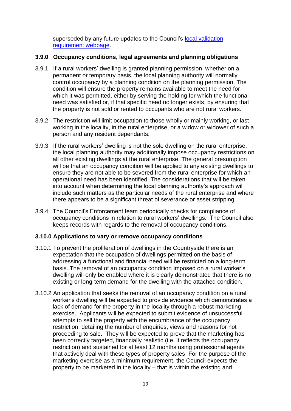superseded by any future updates to the Council's local validation [requirement webpage.](https://www.cravendc.gov.uk/planning/planning-applications-and-notifications/national-and-local-planning-validation-requirements/local-information-requirements/)

## **3.9.0 Occupancy conditions, legal agreements and planning obligations**

- 3.9.1 If a rural workers' dwelling is granted planning permission, whether on a permanent or temporary basis, the local planning authority will normally control occupancy by a planning condition on the planning permission. The condition will ensure the property remains available to meet the need for which it was permitted, either by serving the holding for which the functional need was satisfied or, if that specific need no longer exists, by ensuring that the property is not sold or rented to occupants who are not rural workers.
- 3.9.2 The restriction will limit occupation to those wholly or mainly working, or last working in the locality, in the rural enterprise, or a widow or widower of such a person and any resident dependants.
- 3.9.3 If the rural workers' dwelling is not the sole dwelling on the rural enterprise, the local planning authority may additionally impose occupancy restrictions on all other existing dwellings at the rural enterprise. The general presumption will be that an occupancy condition will be applied to any existing dwellings to ensure they are not able to be severed from the rural enterprise for which an operational need has been identified. The considerations that will be taken into account when determining the local planning authority's approach will include such matters as the particular needs of the rural enterprise and where there appears to be a significant threat of severance or asset stripping.
- 3.9.4 The Council's Enforcement team periodically checks for compliance of occupancy conditions in relation to rural workers' dwellings. The Council also keeps records with regards to the removal of occupancy conditions.

## **3.10.0 Applications to vary or remove occupancy conditions**

- 3.10.1 To prevent the proliferation of dwellings in the Countryside there is an expectation that the occupation of dwellings permitted on the basis of addressing a functional and financial need will be restricted on a long-term basis. The removal of an occupancy condition imposed on a rural worker's dwelling will only be enabled where it is clearly demonstrated that there is no existing or long-term demand for the dwelling with the attached condition.
- 3.10.2 An application that seeks the removal of an occupancy condition on a rural worker's dwelling will be expected to provide evidence which demonstrates a lack of demand for the property in the locality through a robust marketing exercise. Applicants will be expected to submit evidence of unsuccessful attempts to sell the property with the encumbrance of the occupancy restriction, detailing the number of enquiries, views and reasons for not proceeding to sale. They will be expected to prove that the marketing has been correctly targeted, financially realistic (i.e. it reflects the occupancy restriction) and sustained for at least 12 months using professional agents that actively deal with these types of property sales. For the purpose of the marketing exercise as a minimum requirement, the Council expects the property to be marketed in the locality – that is within the existing and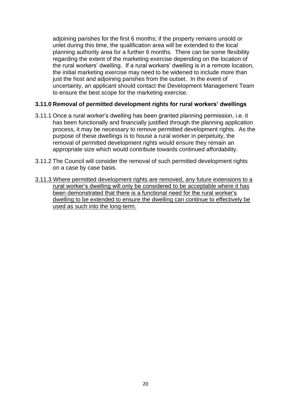adjoining parishes for the first 6 months; if the property remains unsold or unlet during this time, the qualification area will be extended to the local planning authority area for a further 6 months. There can be some flexibility regarding the extent of the marketing exercise depending on the location of the rural workers' dwelling. If a rural workers' dwelling is in a remote location, the initial marketing exercise may need to be widened to include more than just the host and adjoining parishes from the outset. In the event of uncertainty, an applicant should contact the Development Management Team to ensure the best scope for the marketing exercise.

#### **3.11.0 Removal of permitted development rights for rural workers' dwellings**

- 3.11.1 Once a rural worker's dwelling has been granted planning permission, i.e. it has been functionally and financially justified through the planning application process, it may be necessary to remove permitted development rights. As the purpose of these dwellings is to house a rural worker in perpetuity, the removal of permitted development rights would ensure they remain an appropriate size which would contribute towards continued affordability.
- 3.11.2 The Council will consider the removal of such permitted development rights on a case by case basis.
- 3.11.3 Where permitted development rights are removed, any future extensions to a rural worker's dwelling will only be considered to be acceptable where it has been demonstrated that there is a functional need for the rural worker's dwelling to be extended to ensure the dwelling can continue to effectively be used as such into the long-term.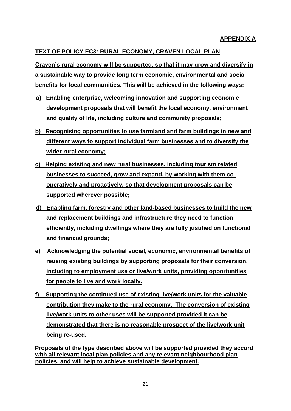## **TEXT OF POLICY EC3: RURAL ECONOMY, CRAVEN LOCAL PLAN**

**Craven's rural economy will be supported, so that it may grow and diversify in a sustainable way to provide long term economic, environmental and social benefits for local communities. This will be achieved in the following ways:**

- **a) Enabling enterprise, welcoming innovation and supporting economic development proposals that will benefit the local economy, environment and quality of life, including culture and community proposals;**
- **b) Recognising opportunities to use farmland and farm buildings in new and different ways to support individual farm businesses and to diversify the wider rural economy;**
- **c) Helping existing and new rural businesses, including tourism related businesses to succeed, grow and expand, by working with them cooperatively and proactively, so that development proposals can be supported wherever possible;**
- **d) Enabling farm, forestry and other land-based businesses to build the new and replacement buildings and infrastructure they need to function efficiently, including dwellings where they are fully justified on functional and financial grounds;**
- **e) Acknowledging the potential social, economic, environmental benefits of reusing existing buildings by supporting proposals for their conversion, including to employment use or live/work units, providing opportunities for people to live and work locally.**
- **f) Supporting the continued use of existing live/work units for the valuable contribution they make to the rural economy. The conversion of existing live/work units to other uses will be supported provided it can be demonstrated that there is no reasonable prospect of the live/work unit being re-used.**

**Proposals of the type described above will be supported provided they accord with all relevant local plan policies and any relevant neighbourhood plan policies, and will help to achieve sustainable development.**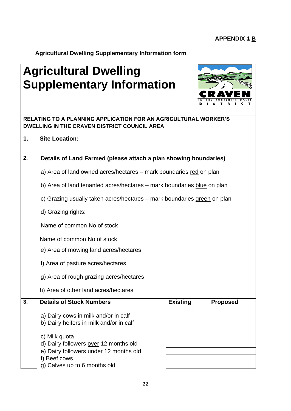**Agricultural Dwelling Supplementary Information form**

## **Agricultural Dwelling Supplementary Information**



|                  | RELATING TO A PLANNING APPLICATION FOR AN AGRICULTURAL WORKER'S<br>DWELLING IN THE CRAVEN DISTRICT COUNCIL AREA |                 |                 |  |  |
|------------------|-----------------------------------------------------------------------------------------------------------------|-----------------|-----------------|--|--|
| 1.               | <b>Site Location:</b>                                                                                           |                 |                 |  |  |
| 2.               | Details of Land Farmed (please attach a plan showing boundaries)                                                |                 |                 |  |  |
|                  | a) Area of land owned acres/hectares – mark boundaries red on plan                                              |                 |                 |  |  |
|                  | b) Area of land tenanted acres/hectares - mark boundaries blue on plan                                          |                 |                 |  |  |
|                  | c) Grazing usually taken acres/hectares – mark boundaries green on plan                                         |                 |                 |  |  |
|                  | d) Grazing rights:                                                                                              |                 |                 |  |  |
|                  | Name of common No of stock                                                                                      |                 |                 |  |  |
|                  | Name of common No of stock<br>e) Area of mowing land acres/hectares<br>f) Area of pasture acres/hectares        |                 |                 |  |  |
|                  |                                                                                                                 |                 |                 |  |  |
|                  |                                                                                                                 |                 |                 |  |  |
|                  | g) Area of rough grazing acres/hectares                                                                         |                 |                 |  |  |
|                  | h) Area of other land acres/hectares                                                                            |                 |                 |  |  |
| $\overline{3}$ . | <b>Details of Stock Numbers</b>                                                                                 | <b>Existing</b> | <b>Proposed</b> |  |  |
|                  | a) Dairy cows in milk and/or in calf<br>b) Dairy heifers in milk and/or in calf                                 |                 |                 |  |  |
|                  | c) Milk quota                                                                                                   |                 |                 |  |  |
|                  | d) Dairy followers over 12 months old<br>e) Dairy followers under 12 months old<br>f) Beef cows                 |                 |                 |  |  |
|                  |                                                                                                                 |                 |                 |  |  |
|                  | g) Calves up to 6 months old                                                                                    |                 |                 |  |  |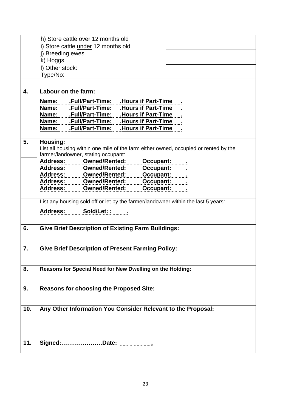|     | h) Store cattle over 12 months old                                                                    |
|-----|-------------------------------------------------------------------------------------------------------|
|     | i) Store cattle <i>under</i> 12 months old                                                            |
|     | j) Breeding ewes                                                                                      |
|     | k) Hoggs                                                                                              |
|     | I) Other stock:                                                                                       |
|     | Type/No:                                                                                              |
|     |                                                                                                       |
| 4.  | Labour on the farm:                                                                                   |
|     |                                                                                                       |
|     | Name: Full/Part-Time: Hours if Part-Time                                                              |
|     | Name: Full/Part-Time:  Hours if Part-Time                                                             |
|     | Name: Full/Part-Time:  Hours if Part-Time                                                             |
|     | Name: Full/Part-Time:<br>.Hours if Part-Time<br>Name: .Full/Part-Time: .Hours if Part-Time .          |
|     |                                                                                                       |
| 5.  | Housing:                                                                                              |
|     | List all housing within one mile of the farm either owned, occupied or rented by the                  |
|     | farmer/landowner, stating occupant:                                                                   |
|     |                                                                                                       |
|     |                                                                                                       |
|     |                                                                                                       |
|     | Address: Owned/Rented: Occupant:<br>Address: Owned/Rented: Occupant: Address: Owned/Rented: Occupant: |
|     | Address: Owned/Rented: Occupant:                                                                      |
|     |                                                                                                       |
|     | List any housing sold off or let by the farmer/landowner within the last 5 years:                     |
|     | Address: Sold/Let: :                                                                                  |
|     |                                                                                                       |
| 6.  |                                                                                                       |
|     | <b>Give Brief Description of Existing Farm Buildings:</b>                                             |
|     |                                                                                                       |
| 7.  | <b>Give Brief Description of Present Farming Policy:</b>                                              |
|     |                                                                                                       |
|     |                                                                                                       |
| 8.  | Reasons for Special Need for New Dwelling on the Holding:                                             |
|     |                                                                                                       |
|     |                                                                                                       |
| 9.  | <b>Reasons for choosing the Proposed Site:</b>                                                        |
|     |                                                                                                       |
|     |                                                                                                       |
| 10. | Any Other Information You Consider Relevant to the Proposal:                                          |
|     |                                                                                                       |
|     |                                                                                                       |
|     |                                                                                                       |
|     |                                                                                                       |
| 11. |                                                                                                       |
|     |                                                                                                       |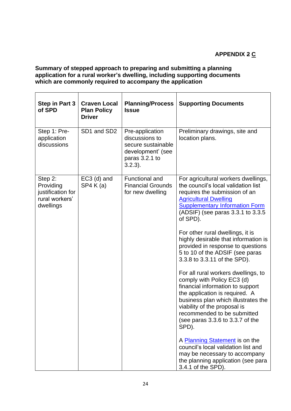## **APPENDIX 2 C**

## **Summary of stepped approach to preparing and submitting a planning application for a rural worker's dwelling, including supporting documents**  which are commonly required to accompany the application

| Step in Part 3<br>of SPD                                                 | <b>Craven Local</b><br><b>Plan Policy</b><br><b>Driver</b> | <b>Planning/Process</b><br><b>Issue</b>                                                                      | <b>Supporting Documents</b>                                                                                                                                                                                                                                                                |
|--------------------------------------------------------------------------|------------------------------------------------------------|--------------------------------------------------------------------------------------------------------------|--------------------------------------------------------------------------------------------------------------------------------------------------------------------------------------------------------------------------------------------------------------------------------------------|
| Step 1: Pre-<br>application<br>discussions                               | SD1 and SD2                                                | Pre-application<br>discussions to<br>secure sustainable<br>development' (see<br>paras 3.2.1 to<br>$3.2.3$ ). | Preliminary drawings, site and<br>location plans.                                                                                                                                                                                                                                          |
| Step 2:<br>Providing<br>justification for<br>rural workers'<br>dwellings | $EC3$ (d) and<br>SP4 K(a)                                  | Functional and<br><b>Financial Grounds</b><br>for new dwelling                                               | For agricultural workers dwellings,<br>the council's local validation list<br>requires the submission of an<br><b>Agricultural Dwelling</b><br><b>Supplementary Information Form</b><br>(ADSIF) (see paras 3.3.1 to 3.3.5)<br>of SPD).                                                     |
|                                                                          |                                                            |                                                                                                              | For other rural dwellings, it is<br>highly desirable that information is<br>provided in response to questions<br>5 to 10 of the ADSIF (see paras<br>3.3.8 to 3.3.11 of the SPD).                                                                                                           |
|                                                                          |                                                            |                                                                                                              | For all rural workers dwellings, to<br>comply with Policy EC3 (d)<br>financial information to support<br>the application is required. A<br>business plan which illustrates the<br>viability of the proposal is<br>recommended to be submitted<br>(see paras 3.3.6 to 3.3.7 of the<br>SPD). |
|                                                                          |                                                            |                                                                                                              | A Planning Statement is on the<br>council's local validation list and<br>may be necessary to accompany<br>the planning application (see para<br>3.4.1 of the SPD).                                                                                                                         |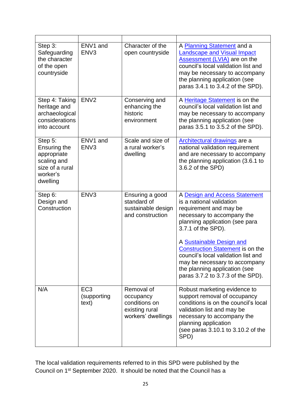| Step 3:<br>Safeguarding<br>the character<br>of the open<br>countryside                                  | ENV1 and<br>ENV <sub>3</sub>            | Character of the<br>open countryside                                             | A Planning Statement and a<br><b>Landscape and Visual Impact</b><br><b>Assessment (LVIA)</b> are on the<br>council's local validation list and<br>may be necessary to accompany<br>the planning application (see<br>paras 3.4.1 to 3.4.2 of the SPD).                                                                                                                                          |
|---------------------------------------------------------------------------------------------------------|-----------------------------------------|----------------------------------------------------------------------------------|------------------------------------------------------------------------------------------------------------------------------------------------------------------------------------------------------------------------------------------------------------------------------------------------------------------------------------------------------------------------------------------------|
| Step 4: Taking<br>heritage and<br>archaeological<br>considerations<br>into account                      | ENV <sub>2</sub>                        | Conserving and<br>enhancing the<br>historic<br>environment                       | A Heritage Statement is on the<br>council's local validation list and<br>may be necessary to accompany<br>the planning application (see<br>paras 3.5.1 to 3.5.2 of the SPD).                                                                                                                                                                                                                   |
| Step 5:<br><b>Ensuring the</b><br>appropriate<br>scaling and<br>size of a rural<br>worker's<br>dwelling | ENV1 and<br>ENV <sub>3</sub>            | Scale and size of<br>a rural worker's<br>dwelling                                | Architectural drawings are a<br>national validation requirement<br>and are necessary to accompany<br>the planning application (3.6.1 to<br>3.6.2 of the SPD)                                                                                                                                                                                                                                   |
| Step 6:<br>Design and<br>Construction                                                                   | ENV <sub>3</sub>                        | Ensuring a good<br>standard of<br>sustainable design<br>and construction         | A Design and Access Statement<br>is a national validation<br>requirement and may be<br>necessary to accompany the<br>planning application (see para<br>3.7.1 of the SPD).<br>A Sustainable Design and<br><b>Construction Statement</b> is on the<br>council's local validation list and<br>may be necessary to accompany<br>the planning application (see<br>paras 3.7.2 to 3.7.3 of the SPD). |
| N/A                                                                                                     | EC <sub>3</sub><br>(supporting<br>text) | Removal of<br>occupancy<br>conditions on<br>existing rural<br>workers' dwellings | Robust marketing evidence to<br>support removal of occupancy<br>conditions is on the council's local<br>validation list and may be<br>necessary to accompany the<br>planning application<br>(see paras 3.10.1 to 3.10.2 of the<br>SPD)                                                                                                                                                         |

The local validation requirements referred to in this SPD were published by the Council on 1st September 2020. It should be noted that the Council has a